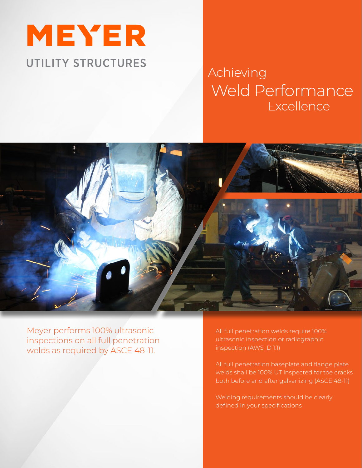

# **Excellence** Achieving Weld Performance



Meyer performs 100% ultrasonic inspections on all full penetration welds as required by ASCE 48-11.

All full penetration welds require 100% ultrasonic inspection or radiographic inspection (AWS D 1.1)

All full penetration baseplate and flange plate welds shall be 100% UT inspected for toe cracks both before and after galvanizing (ASCE 48-11)

Welding requirements should be clearly defined in your specifications